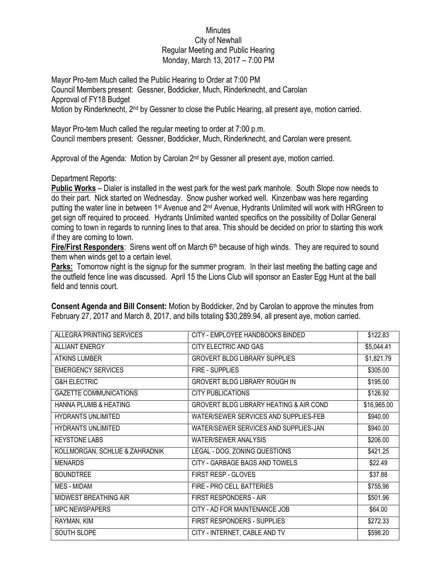## Minutes City of Newhall Regular Meeting and Public Hearing Monday, March 13, 2017 – 7:00 PM

Mayor Pro-tem Much called the Public Hearing to Order at 7:00 PM Council Members present: Gessner, Boddicker, Much, Rinderknecht, and Carolan Approval of FY18 Budget Motion by Rinderknecht, 2nd by Gessner to close the Public Hearing, all present aye, motion carried.

Mayor Pro-tem Much called the regular meeting to order at 7:00 p.m. Council members present: Gessner, Boddicker, Much, Rinderknecht, and Carolan were present.

Approval of the Agenda: Motion by Carolan 2<sup>nd</sup> by Gessner all present aye, motion carried.

Department Reports:

**Public Works** – Dialer is installed in the west park for the west park manhole. South Slope now needs to do their part. Nick started on Wednesday. Snow pusher worked well. Kinzenbaw was here regarding putting the water line in between 1<sup>st</sup> Avenue and 2<sup>nd</sup> Avenue, Hydrants Unlimited will work with HRGreen to get sign off required to proceed. Hydrants Unlimited wanted specifics on the possibility of Dollar General coming to town in regards to running lines to that area. This should be decided on prior to starting this work if they are coming to town.

Fire/First Responders: Sirens went off on March 6<sup>th</sup> because of high winds. They are required to sound them when winds get to a certain level.

**Parks:** Tomorrow night is the signup for the summer program. In their last meeting the batting cage and the outfield fence line was discussed. April 15 the Lions Club will sponsor an Easter Egg Hunt at the ball field and tennis court.

| ALLEGRA PRINTING SERVICES        | CITY - EMPLOYEE HANDBOOKS BINDED                   | \$122.83    |
|----------------------------------|----------------------------------------------------|-------------|
| <b>ALLIANT ENERGY</b>            | CITY ELECTRIC AND GAS                              | \$5,044.41  |
| <b>ATKINS LUMBER</b>             | <b>GROVERT BLDG LIBRARY SUPPLIES</b>               | \$1,821.79  |
| <b>EMERGENCY SERVICES</b>        | <b>FIRE - SUPPLIES</b>                             | \$305.00    |
| <b>G&amp;H ELECTRIC</b>          | <b>GROVERT BLDG LIBRARY ROUGH IN</b>               | \$195.00    |
| <b>GAZETTE COMMUNICATIONS</b>    | <b>CITY PUBLICATIONS</b>                           | \$126.92    |
| <b>HANNA PLUMB &amp; HEATING</b> | <b>GROVERT BLDG LIBRARY HEATING &amp; AIR COND</b> | \$16,965.00 |
| <b>HYDRANTS UNLIMITED</b>        | WATER/SEWER SERVICES AND SUPPLIES-FEB              | \$940.00    |
| <b>HYDRANTS UNLIMITED</b>        | WATER/SEWER SERVICES AND SUPPLIES-JAN              | \$940.00    |
| <b>KEYSTONE LABS</b>             | <b>WATER/SEWER ANALYSIS</b>                        | \$206.00    |
| KOLLMORGAN, SCHLUE & ZAHRADNIK   | LEGAL - DOG, ZONING QUESTIONS                      | \$421.25    |
| <b>MENARDS</b>                   | CITY - GARBAGE BAGS AND TOWELS                     | \$22.49     |
| <b>BOUNDTREE</b>                 | FIRST RESP - GLOVES                                | \$37.88     |
| MES - MIDAM                      | FIRE - PRO CELL BATTERIES                          | \$755.96    |
| <b>MIDWEST BREATHING AIR</b>     | FIRST RESPONDERS - AIR                             | \$501.96    |
| <b>MPC NEWSPAPERS</b>            | CITY - AD FOR MAINTENANCE JOB                      | \$64.00     |
| RAYMAN, KIM                      | FIRST RESPONDERS - SUPPLIES                        | \$272.33    |
| SOUTH SLOPE                      | CITY - INTERNET, CABLE AND TV                      | \$598.20    |

**Consent Agenda and Bill Consent:** Motion by Boddicker, 2nd by Carolan to approve the minutes from February 27, 2017 and March 8, 2017, and bills totaling \$30,289.94, all present aye, motion carried.